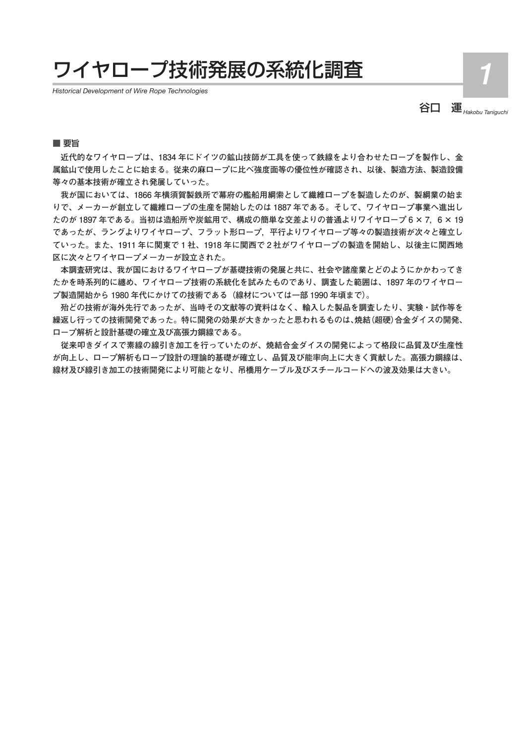## ワイヤロープ技術発展の系統化調査 *1*

*Historical Development of Wire Rope Technologies*

谷口 運*Hakobu Taniguchi*

## ■ 要旨

 **近代的なワイヤロープは、1834 年にドイツの鉱山技師が工具を使って鉄線をより合わせたロープを製作し、金 属鉱山で使用したことに始まる。従来の麻ロープに比べ強度面等の優位性が確認され、以後、製造方法、製造設備 等々の基本技術が確立され発展していった。**

 **我が国においては、1866 年横須賀製鉄所で幕府の艦船用綱索として繊維ロープを製造したのが、製綱業の始ま りで、メーカーが創立して繊維ロープの生産を開始したのは 1887 年である。そして、ワイヤロープ事業へ進出し たのが 1897 年である。当初は造船所や炭鉱用で、構成の簡単な交差よりの普通よりワイヤロープ 6 × 7,6 × 19 であったが、ラングよりワイヤロープ、フラット形ロープ,平行よりワイヤロープ等々の製造技術が次々と確立し ていった。また、1911 年に関東で 1 社、1918 年に関西で 2 社がワイヤロープの製造を開始し、以後主に関西地 区に次々とワイヤロープメーカーが設立された。**

 **本調査研究は、我が国におけるワイヤロープが基礎技術の発展と共に、社会や諸産業とどのようにかかわってき たかを時系列的に纏め、ワイヤロープ技術の系統化を試みたものであり、調査した範囲は、1897 年のワイヤロー プ製造開始から 1980 年代にかけての技術である(線材については一部 1990 年頃まで)。**

 **殆どの技術が海外先行であったが、当時その文献等の資料はなく、輸入した製品を調査したり、実験・試作等を 繰返し行っての技術開発であった。特に開発の効果が大きかったと思われるものは、焼結(超硬)合金ダイスの開発、 ロープ解析と設計基礎の確立及び高張力鋼線である。**

 **従来叩きダイスで素線の線引き加工を行っていたのが、焼結合金ダイスの開発によって格段に品質及び生産性 が向上し、ロープ解析もロープ設計の理論的基礎が確立し、品質及び能率向上に大きく貢献した。高張力鋼線は、 線材及び線引き加工の技術開発により可能となり、吊橋用ケーブル及びスチールコードへの波及効果は大きい。**